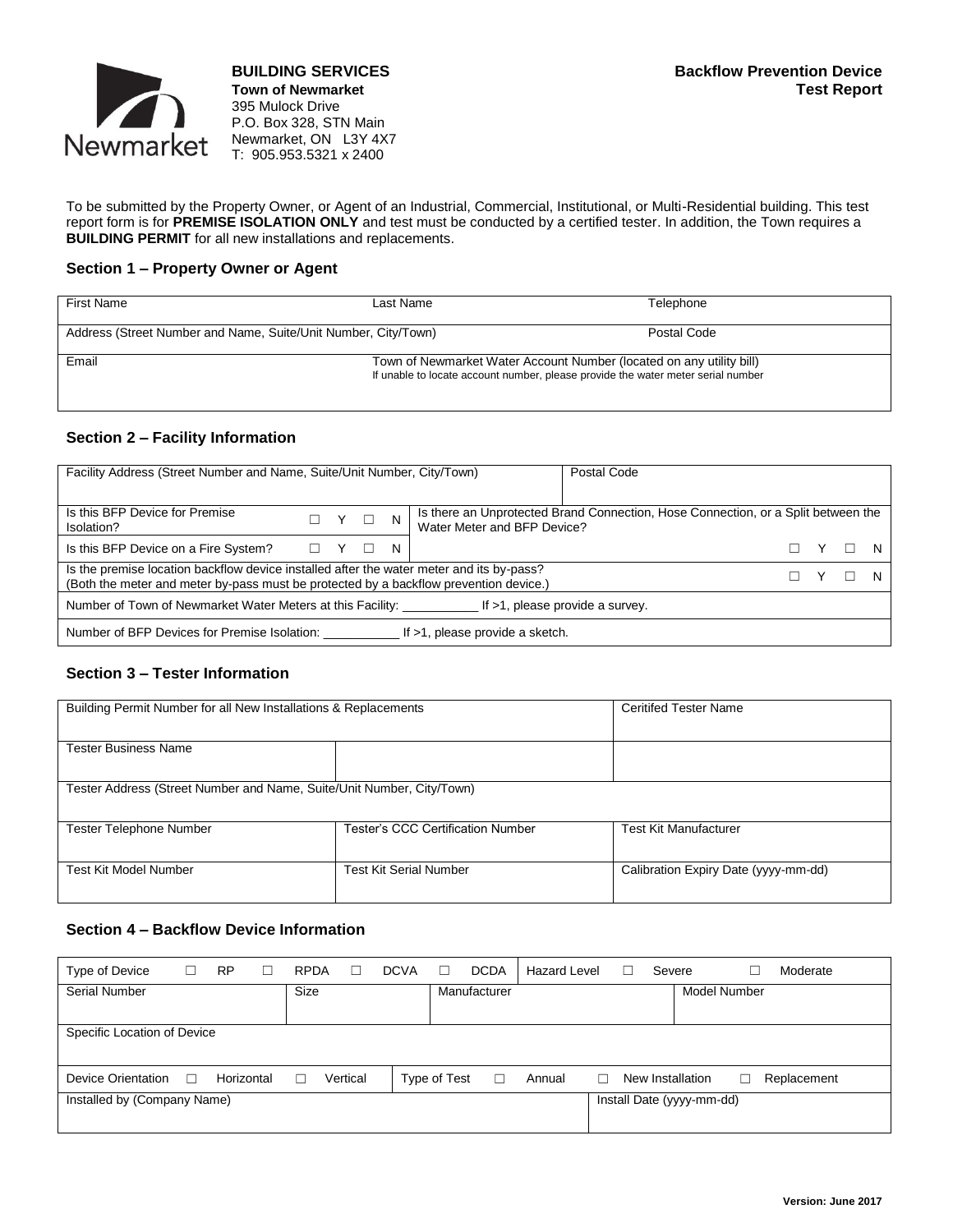

**Town of Newmarket** 395 Mulock Drive P.O. Box 328, STN Main Newmarket, ON L3Y 4X7 T: 905.953.5321 x 2400

To be submitted by the Property Owner, or Agent of an Industrial, Commercial, Institutional, or Multi-Residential building. This test report form is for **PREMISE ISOLATION ONLY** and test must be conducted by a certified tester. In addition, the Town requires a **BUILDING PERMIT** for all new installations and replacements.

#### **Section 1 – Property Owner or Agent**

| First Name                                                     | Last Name                                                                                                                                                | Telephone   |
|----------------------------------------------------------------|----------------------------------------------------------------------------------------------------------------------------------------------------------|-------------|
| Address (Street Number and Name, Suite/Unit Number, City/Town) |                                                                                                                                                          | Postal Code |
| Email                                                          | Town of Newmarket Water Account Number (located on any utility bill)<br>If unable to locate account number, please provide the water meter serial number |             |

#### **Section 2 – Facility Information**

| Facility Address (Street Number and Name, Suite/Unit Number, City/Town)                                                                                                           |                 | Postal Code |  |    |                                                                                                                  |  |  |
|-----------------------------------------------------------------------------------------------------------------------------------------------------------------------------------|-----------------|-------------|--|----|------------------------------------------------------------------------------------------------------------------|--|--|
|                                                                                                                                                                                   |                 |             |  |    |                                                                                                                  |  |  |
| Is this BFP Device for Premise<br>Isolation?                                                                                                                                      |                 |             |  |    | Is there an Unprotected Brand Connection, Hose Connection, or a Split between the<br>Water Meter and BFP Device? |  |  |
| Is this BFP Device on a Fire System?                                                                                                                                              | $\Box$ $\Box$ Y |             |  | N. |                                                                                                                  |  |  |
| Is the premise location backflow device installed after the water meter and its by-pass?<br>(Both the meter and meter by-pass must be protected by a backflow prevention device.) |                 |             |  |    |                                                                                                                  |  |  |
| Number of Town of Newmarket Water Meters at this Facility:<br>If $>1$ , please provide a survey.                                                                                  |                 |             |  |    |                                                                                                                  |  |  |
| If >1, please provide a sketch.<br>Number of BFP Devices for Premise Isolation:                                                                                                   |                 |             |  |    |                                                                                                                  |  |  |

### **Section 3 – Tester Information**

| Building Permit Number for all New Installations & Replacements       | <b>Ceritifed Tester Name</b>      |                                      |  |  |
|-----------------------------------------------------------------------|-----------------------------------|--------------------------------------|--|--|
|                                                                       |                                   |                                      |  |  |
|                                                                       |                                   |                                      |  |  |
|                                                                       |                                   |                                      |  |  |
| Tester Business Name                                                  |                                   |                                      |  |  |
|                                                                       |                                   |                                      |  |  |
|                                                                       |                                   |                                      |  |  |
| Tester Address (Street Number and Name, Suite/Unit Number, City/Town) |                                   |                                      |  |  |
|                                                                       |                                   |                                      |  |  |
|                                                                       |                                   |                                      |  |  |
| <b>Tester Telephone Number</b>                                        | Tester's CCC Certification Number | <b>Test Kit Manufacturer</b>         |  |  |
|                                                                       |                                   |                                      |  |  |
|                                                                       |                                   |                                      |  |  |
|                                                                       |                                   |                                      |  |  |
| Test Kit Model Number                                                 | <b>Test Kit Serial Number</b>     | Calibration Expiry Date (yyyy-mm-dd) |  |  |
|                                                                       |                                   |                                      |  |  |
|                                                                       |                                   |                                      |  |  |

## **Section 4 – Backflow Device Information**

| Type of Device              | ⊔      | <b>RP</b>  | <b>RPDA</b> | $\Box$   | <b>DCVA</b> | П            | <b>DCDA</b>  | Hazard Level |   | Severe |                           |   | Moderate    |
|-----------------------------|--------|------------|-------------|----------|-------------|--------------|--------------|--------------|---|--------|---------------------------|---|-------------|
| Serial Number               |        |            | Size        |          |             |              | Manufacturer |              |   |        | <b>Model Number</b>       |   |             |
|                             |        |            |             |          |             |              |              |              |   |        |                           |   |             |
| Specific Location of Device |        |            |             |          |             |              |              |              |   |        |                           |   |             |
|                             |        |            |             |          |             |              |              |              |   |        |                           |   |             |
| Device Orientation          | $\Box$ | Horizontal |             | Vertical |             | Type of Test | $\Box$       | Annual       | П |        | New Installation          | L | Replacement |
| Installed by (Company Name) |        |            |             |          |             |              |              |              |   |        | Install Date (yyyy-mm-dd) |   |             |
|                             |        |            |             |          |             |              |              |              |   |        |                           |   |             |